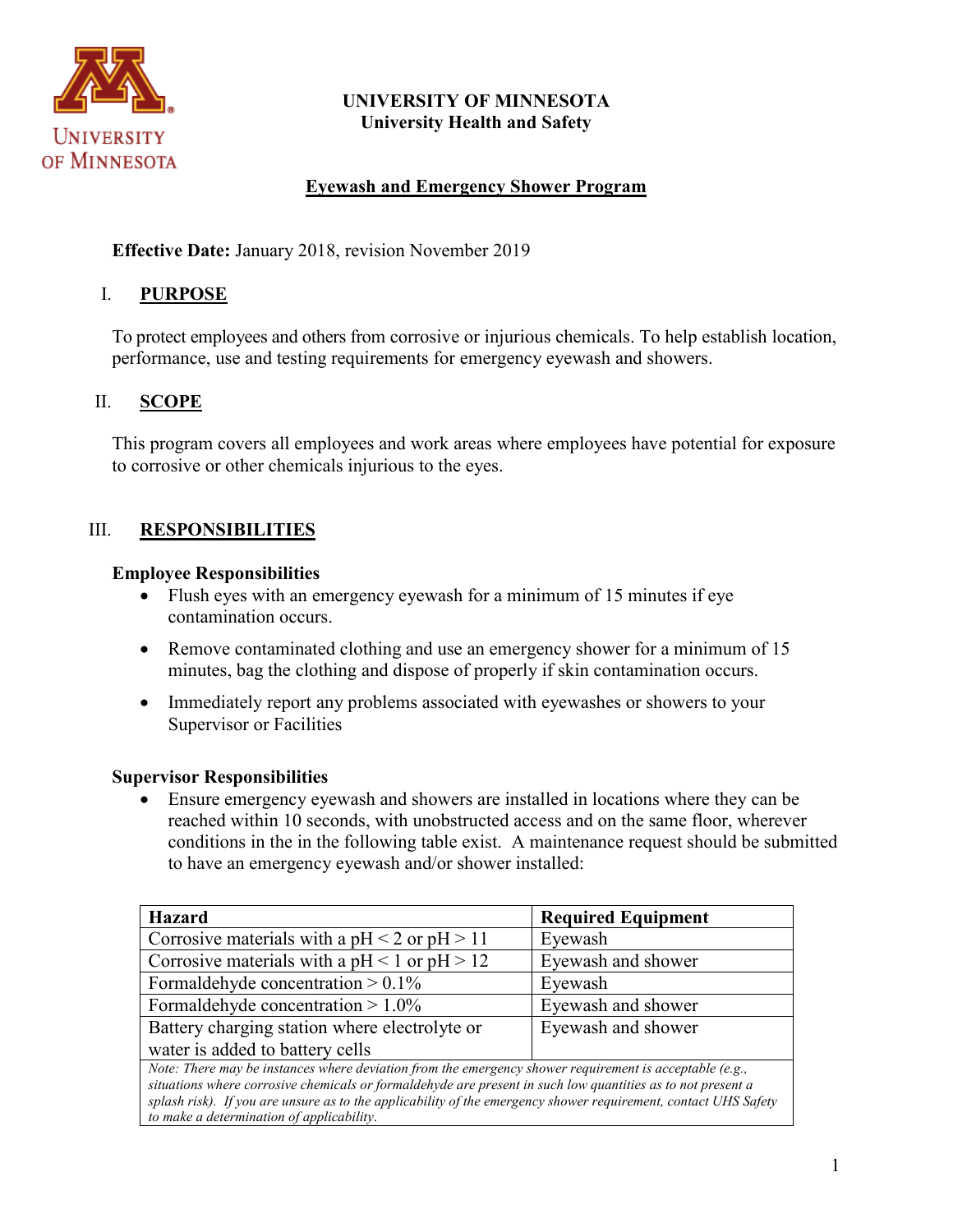

## **UNIVERSITY OF MINNESOTA University Health and Safety**

## **Eyewash and Emergency Shower Program**

**Effective Date:** January 2018, revision November 2019

### I. **PURPOSE**

To protect employees and others from corrosive or injurious chemicals. To help establish location, performance, use and testing requirements for emergency eyewash and showers.

## II. **SCOPE**

This program covers all employees and work areas where employees have potential for exposure to corrosive or other chemicals injurious to the eyes.

## III. **RESPONSIBILITIES**

#### **Employee Responsibilities**

- Flush eyes with an emergency eyewash for a minimum of 15 minutes if eye contamination occurs.
- Remove contaminated clothing and use an emergency shower for a minimum of 15 minutes, bag the clothing and dispose of properly if skin contamination occurs.
- Immediately report any problems associated with eyewashes or showers to your Supervisor or Facilities

#### **Supervisor Responsibilities**

• Ensure emergency eyewash and showers are installed in locations where they can be reached within 10 seconds, with unobstructed access and on the same floor, wherever conditions in the in the following table exist. A maintenance request should be submitted to have an emergency eyewash and/or shower installed:

| <b>Hazard</b>                                                                                                                                                                                                                                                                                                                                                                          | <b>Required Equipment</b> |
|----------------------------------------------------------------------------------------------------------------------------------------------------------------------------------------------------------------------------------------------------------------------------------------------------------------------------------------------------------------------------------------|---------------------------|
| Corrosive materials with a $pH < 2$ or $pH > 11$                                                                                                                                                                                                                                                                                                                                       | Eyewash                   |
| Corrosive materials with a $pH < 1$ or $pH > 12$                                                                                                                                                                                                                                                                                                                                       | Eyewash and shower        |
| Formaldehyde concentration $> 0.1\%$                                                                                                                                                                                                                                                                                                                                                   | Eyewash                   |
| Formaldehyde concentration $> 1.0\%$                                                                                                                                                                                                                                                                                                                                                   | Eyewash and shower        |
| Battery charging station where electrolyte or                                                                                                                                                                                                                                                                                                                                          | Eyewash and shower        |
| water is added to battery cells                                                                                                                                                                                                                                                                                                                                                        |                           |
| Note: There may be instances where deviation from the emergency shower requirement is acceptable (e.g.,<br>situations where corrosive chemicals or formaldehyde are present in such low quantities as to not present a<br>splash risk). If you are unsure as to the applicability of the emergency shower requirement, contact UHS Safety<br>to make a determination of applicability. |                           |